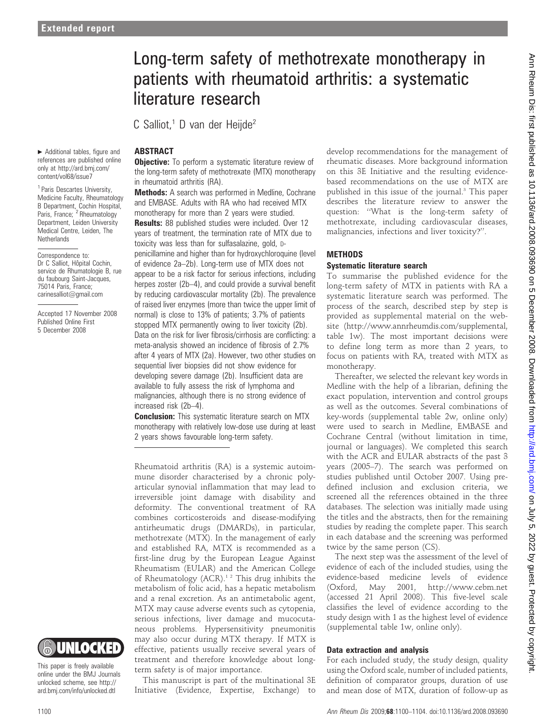$\blacktriangleright$  Additional tables, figure and references are published online only at http://ard.bmj.com/ content/vol68/issue7 <sup>1</sup> Paris Descartes University, Medicine Faculty, Rheumatology B Department, Cochin Hospital, Paris, France; <sup>2</sup> Rheumatology Department, Leiden University Medical Centre, Leiden, The

**Netherlands** 

Correspondence to: Dr C Salliot, Hôpital Cochin, service de Rhumatologie B, rue du faubourg Saint-Jacques, 75014 Paris, France; carinesalliot@gmail.com

Accepted 17 November 2008 Published Online First 5 December 2008

# Long-term safety of methotrexate monotherapy in patients with rheumatoid arthritis: a systematic literature research

C Salliot.<sup>1</sup> D van der Heijde<sup>2</sup>

# **ABSTRACT**

**Objective:** To perform a systematic literature review of the long-term safety of methotrexate (MTX) monotherapy in rheumatoid arthritis (RA).

Methods: A search was performed in Medline, Cochrane and EMBASE. Adults with RA who had received MTX monotherapy for more than 2 years were studied. **Results:** 88 published studies were included. Over 12 years of treatment, the termination rate of MTX due to toxicity was less than for sulfasalazine, gold, Dpenicillamine and higher than for hydroxychloroquine (level of evidence 2a–2b). Long-term use of MTX does not appear to be a risk factor for serious infections, including herpes zoster (2b–4), and could provide a survival benefit by reducing cardiovascular mortality (2b). The prevalence of raised liver enzymes (more than twice the upper limit of normal) is close to 13% of patients; 3.7% of patients stopped MTX permanently owing to liver toxicity (2b). Data on the risk for liver fibrosis/cirrhosis are conflicting: a meta-analysis showed an incidence of fibrosis of 2.7% after 4 years of MTX (2a). However, two other studies on sequential liver biopsies did not show evidence for developing severe damage (2b). Insufficient data are available to fully assess the risk of lymphoma and malignancies, although there is no strong evidence of increased risk (2b–4).

**Conclusion:** This systematic literature search on MTX monotherapy with relatively low-dose use during at least 2 years shows favourable long-term safety.

Rheumatoid arthritis (RA) is a systemic autoimmune disorder characterised by a chronic polyarticular synovial inflammation that may lead to irreversible joint damage with disability and deformity. The conventional treatment of RA combines corticosteroids and disease-modifying antirheumatic drugs (DMARDs), in particular, methotrexate (MTX). In the management of early and established RA, MTX is recommended as a first-line drug by the European League Against Rheumatism (EULAR) and the American College of Rheumatology (ACR).<sup>12</sup> This drug inhibits the metabolism of folic acid, has a hepatic metabolism and a renal excretion. As an antimetabolic agent, MTX may cause adverse events such as cytopenia, serious infections, liver damage and mucocutaneous problems. Hypersensitivity pneumonitis may also occur during MTX therapy. If MTX is effective, patients usually receive several years of treatment and therefore knowledge about longterm safety is of major importance.

This manuscript is part of the multinational 3E Initiative (Evidence, Expertise, Exchange) to

develop recommendations for the management of rheumatic diseases. More background information on this 3E Initiative and the resulting evidencebased recommendations on the use of MTX are published in this issue of the journal.<sup>3</sup> This paper describes the literature review to answer the question: ''What is the long-term safety of methotrexate, including cardiovascular diseases, malignancies, infections and liver toxicity?''.

#### **METHODS**

#### Systematic literature search

To summarise the published evidence for the long-term safety of MTX in patients with RA a systematic literature search was performed. The process of the search, described step by step is provided as supplemental material on the website (http://www.annrheumdis.com/supplemental, table 1w). The most important decisions were to define long term as more than 2 years, to focus on patients with RA, treated with MTX as monotherapy.

Thereafter, we selected the relevant key words in Medline with the help of a librarian, defining the exact population, intervention and control groups as well as the outcomes. Several combinations of key-words (supplemental table 2w, online only) were used to search in Medline, EMBASE and Cochrane Central (without limitation in time, journal or languages). We completed this search with the ACR and EULAR abstracts of the past 3 years (2005–7). The search was performed on studies published until October 2007. Using predefined inclusion and exclusion criteria, we screened all the references obtained in the three databases. The selection was initially made using the titles and the abstracts, then for the remaining studies by reading the complete paper. This search in each database and the screening was performed twice by the same person (CS).

The next step was the assessment of the level of evidence of each of the included studies, using the evidence-based medicine levels of evidence (Oxford, May 2001, http://www.cebm.net (accessed 21 April 2008). This five-level scale classifies the level of evidence according to the study design with 1 as the highest level of evidence (supplemental table 1w, online only).

## Data extraction and analysis

For each included study, the study design, quality using the Oxford scale, number of included patients, definition of comparator groups, duration of use and mean dose of MTX, duration of follow-up as



This paper is freely available online under the BMJ Journals unlocked scheme, see http:// ard.bmj.com/info/unlocked.dtl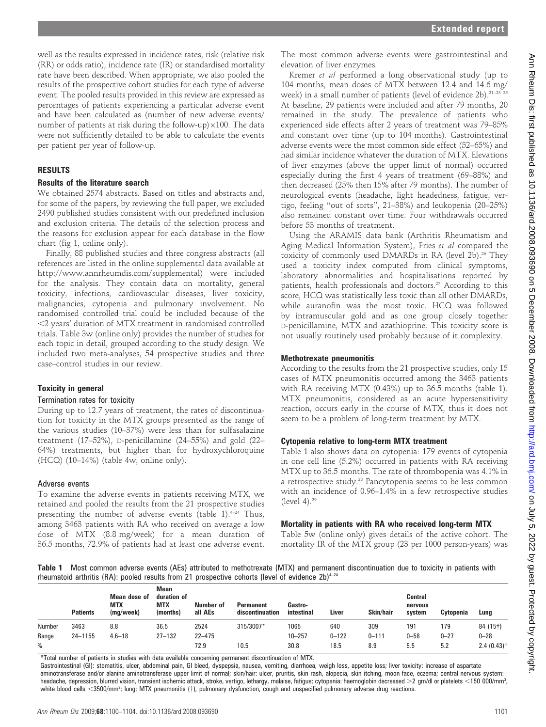well as the results expressed in incidence rates, risk (relative risk (RR) or odds ratio), incidence rate (IR) or standardised mortality rate have been described. When appropriate, we also pooled the results of the prospective cohort studies for each type of adverse event. The pooled results provided in this review are expressed as percentages of patients experiencing a particular adverse event and have been calculated as (number of new adverse events/ number of patients at risk during the follow-up) $\times100$ . The data were not sufficiently detailed to be able to calculate the events per patient per year of follow-up.

## RESULTS

#### Results of the literature search

We obtained 2574 abstracts. Based on titles and abstracts and, for some of the papers, by reviewing the full paper, we excluded 2490 published studies consistent with our predefined inclusion and exclusion criteria. The details of the selection process and the reasons for exclusion appear for each database in the flow chart (fig 1, online only).

Finally, 88 published studies and three congress abstracts (all references are listed in the online supplemental data available at http://www.annrheumdis.com/supplemental) were included for the analysis. They contain data on mortality, general toxicity, infections, cardiovascular diseases, liver toxicity, malignancies, cytopenia and pulmonary involvement. No randomised controlled trial could be included because of the ,2 years' duration of MTX treatment in randomised controlled trials. Table 3w (online only) provides the number of studies for each topic in detail, grouped according to the study design. We included two meta-analyses, 54 prospective studies and three case–control studies in our review.

#### Toxicity in general

#### Termination rates for toxicity

During up to 12.7 years of treatment, the rates of discontinuation for toxicity in the MTX groups presented as the range of the various studies (10–37%) were less than for sulfasalazine treatment (17–52%), D-penicillamine (24–55%) and gold (22– 64%) treatments, but higher than for hydroxychloroquine (HCQ) (10–14%) (table 4w, online only).

#### Adverse events

To examine the adverse events in patients receiving MTX, we retained and pooled the results from the 21 prospective studies presenting the number of adverse events (table 1). $4-24$  Thus, among 3463 patients with RA who received on average a low dose of MTX (8.8 mg/week) for a mean duration of 36.5 months, 72.9% of patients had at least one adverse event.

The most common adverse events were gastrointestinal and elevation of liver enzymes.

Kremer et al performed a long observational study (up to 104 months, mean doses of MTX between 12.4 and 14.6 mg/ week) in a small number of patients (level of evidence 2b).<sup>21-23 25</sup> At baseline, 29 patients were included and after 79 months, 20 remained in the study. The prevalence of patients who experienced side effects after 2 years of treatment was 79–85% and constant over time (up to 104 months). Gastrointestinal adverse events were the most common side effect (52–65%) and had similar incidence whatever the duration of MTX. Elevations of liver enzymes (above the upper limit of normal) occurred especially during the first 4 years of treatment (69–88%) and then decreased (25% then 15% after 79 months). The number of neurological events (headache, light headedness, fatigue, vertigo, feeling ''out of sorts'', 21–38%) and leukopenia (20–25%) also remained constant over time. Four withdrawals occurred before 53 months of treatment.

Using the ARAMIS data bank (Arthritis Rheumatism and Aging Medical Information System), Fries et al compared the toxicity of commonly used DMARDs in RA (level 2b).<sup>26</sup> They used a toxicity index computed from clinical symptoms, laboratory abnormalities and hospitalisations reported by patients, health professionals and doctors.<sup>27</sup> According to this score, HCQ was statistically less toxic than all other DMARDs, while auranofin was the most toxic. HCQ was followed by intramuscular gold and as one group closely together D-penicillamine, MTX and azathioprine. This toxicity score is not usually routinely used probably because of it complexity.

#### Methotrexate pneumonitis

According to the results from the 21 prospective studies, only 15 cases of MTX pneumonitis occurred among the 3463 patients with RA receiving MTX (0.43%) up to 36.5 months (table 1). MTX pneumonitis, considered as an acute hypersensitivity reaction, occurs early in the course of MTX, thus it does not seem to be a problem of long-term treatment by MTX.

# Cytopenia relative to long-term MTX treatment

Table 1 also shows data on cytopenia: 179 events of cytopenia in one cell line (5.2%) occurred in patients with RA receiving MTX up to 36.5 months. The rate of thrombopenia was 4.1% in a retrospective study.<sup>28</sup> Pancytopenia seems to be less common with an incidence of 0.96–1.4% in a few retrospective studies (level 4). $^{29}$ 

# Mortality in patients with RA who received long-term MTX

Table 5w (online only) gives details of the active cohort. The mortality IR of the MTX group (23 per 1000 person-years) was

Table 1 Most common adverse events (AEs) attributed to methotrexate (MTX) and permanent discontinuation due to toxicity in patients with rheumatoid arthritis (RA): pooled results from 21 prospective cohorts (level of evidence 2b)<sup>4-24</sup>

|        | <b>Patients</b> | Mean dose of<br><b>MTX</b><br>(mg/week) | <b>Mean</b><br>duration of<br><b>MTX</b><br>(months) | Number of<br>all AEs | <b>Permanent</b><br>discontinuation | Gastro-<br>intestinal | Liver     | Skin/hair | Central<br>nervous<br>system | Cytopenia | Lung      |
|--------|-----------------|-----------------------------------------|------------------------------------------------------|----------------------|-------------------------------------|-----------------------|-----------|-----------|------------------------------|-----------|-----------|
| Number | 3463            | 8.8                                     | 36.5                                                 | 2524                 | 315/3007*                           | 1065                  | 640       | 309       | 191                          | 179       | 84 (15+)  |
| Range  | $24 - 1155$     | $4.6 - 18$                              | $27 - 132$                                           | $22 - 475$           |                                     | $10 - 257$            | $0 - 122$ | $0 - 111$ | $0 - 58$                     | $0 - 27$  | $0 - 28$  |
| %      |                 |                                         |                                                      | 72.9                 | 10.5                                | 30.8                  | 18.5      | 8.9       | 5.5                          | 5.2       | 2.4(0.43) |

\*Total number of patients in studies with data available concerning permanent discontinuation of MTX.

Gastrointestinal (GI): stomatitis, ulcer, abdominal pain, GI bleed, dyspepsia, nausea, vomiting, diarrhoea, weigh loss, appetite loss; liver toxicity: increase of aspartate aminotransferase and/or alanine aminotransferase upper limit of normal; skin/hair: ulcer, pruritis, skin rash, alopecia, skin itching, moon face, eczema; central nervous system: headache, depression, blurred vision, transient ischemic attack, stroke, vertigo, lethargy, malaise, fatigue; cytopenia: haemoglobin decreased  $>$ 2 gm/dl or platelets  $<$  150 000/mm<sup>3</sup>, white blood cells <3500/mm<sup>3</sup>; lung: MTX pneumonitis (†), pulmonary dysfunction, cough and unspecified pulmonary adverse drug reactions.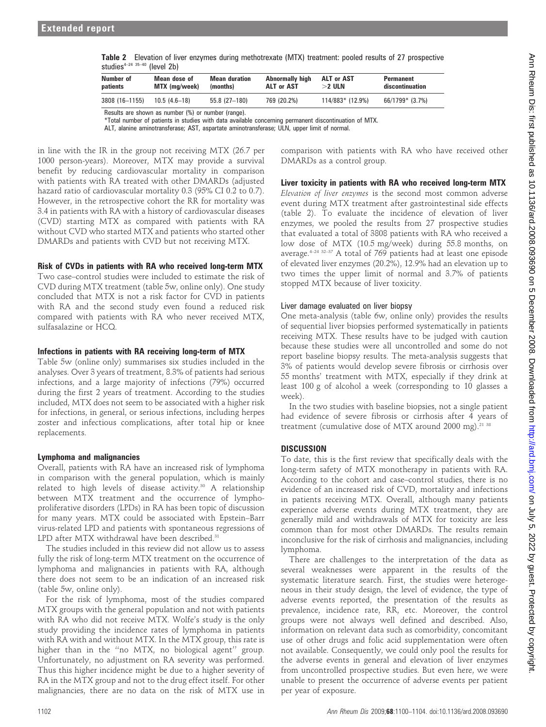| Table 2 Elevation of liver enzymes during methotrexate (MTX) treatment: pooled results of 27 prospective |  |  |  |  |
|----------------------------------------------------------------------------------------------------------|--|--|--|--|
| studies <sup>4–24 35–40</sup> (level 2b)                                                                 |  |  |  |  |

| Number of<br>patients | Mean dose of<br>MTX (mg/week) | <b>Mean duration</b><br>(months) | Abnormally high<br>ALT or AST | ALT or AST<br>$>$ 2 ULN | Permanent<br>discontinuation |  |
|-----------------------|-------------------------------|----------------------------------|-------------------------------|-------------------------|------------------------------|--|
| 3808 (16-1155)        | $10.5(4.6-18)$                | 55.8 (27-180)                    | 769 (20.2%)                   | 114/883* (12.9%)        | 66/1799* (3.7%)              |  |
|                       |                               |                                  |                               |                         |                              |  |

Results are shown as number (%) or number (range).

\*Total number of patients in studies with data available concerning permanent discontinuation of MTX.

ALT, alanine aminotransferase; AST, aspartate aminotransferase; ULN, upper limit of normal.

in line with the IR in the group not receiving MTX (26.7 per 1000 person-years). Moreover, MTX may provide a survival benefit by reducing cardiovascular mortality in comparison with patients with RA treated with other DMARDs (adjusted hazard ratio of cardiovascular mortality 0.3 (95% CI 0.2 to 0.7). However, in the retrospective cohort the RR for mortality was 3.4 in patients with RA with a history of cardiovascular diseases (CVD) starting MTX as compared with patients with RA without CVD who started MTX and patients who started other DMARDs and patients with CVD but not receiving MTX.

## Risk of CVDs in patients with RA who received long-term MTX

Two case–control studies were included to estimate the risk of CVD during MTX treatment (table 5w, online only). One study concluded that MTX is not a risk factor for CVD in patients with RA and the second study even found a reduced risk compared with patients with RA who never received MTX, sulfasalazine or HCQ.

## Infections in patients with RA receiving long-term of MTX

Table 5w (online only) summarises six studies included in the analyses. Over 3 years of treatment, 8.3% of patients had serious infections, and a large majority of infections (79%) occurred during the first 2 years of treatment. According to the studies included, MTX does not seem to be associated with a higher risk for infections, in general, or serious infections, including herpes zoster and infectious complications, after total hip or knee replacements.

# Lymphoma and malignancies

Overall, patients with RA have an increased risk of lymphoma in comparison with the general population, which is mainly related to high levels of disease activity.<sup>30</sup> A relationship between MTX treatment and the occurrence of lymphoproliferative disorders (LPDs) in RA has been topic of discussion for many years. MTX could be associated with Epstein–Barr virus-related LPD and patients with spontaneous regressions of LPD after MTX withdrawal have been described. $31$ 

The studies included in this review did not allow us to assess fully the risk of long-term MTX treatment on the occurrence of lymphoma and malignancies in patients with RA, although there does not seem to be an indication of an increased risk (table 5w, online only).

For the risk of lymphoma, most of the studies compared MTX groups with the general population and not with patients with RA who did not receive MTX. Wolfe's study is the only study providing the incidence rates of lymphoma in patients with RA with and without MTX. In the MTX group, this rate is higher than in the ''no MTX, no biological agent'' group. Unfortunately, no adjustment on RA severity was performed. Thus this higher incidence might be due to a higher severity of RA in the MTX group and not to the drug effect itself. For other malignancies, there are no data on the risk of MTX use in

comparison with patients with RA who have received other DMARDs as a control group.

# Liver toxicity in patients with RA who received long-term MTX

Elevation of liver enzymes is the second most common adverse event during MTX treatment after gastrointestinal side effects (table 2). To evaluate the incidence of elevation of liver enzymes, we pooled the results from 27 prospective studies that evaluated a total of 3808 patients with RA who received a low dose of MTX (10.5 mg/week) during 55.8 months, on average.<sup>4–24 32–37</sup> A total of 769 patients had at least one episode of elevated liver enzymes (20.2%), 12.9% had an elevation up to two times the upper limit of normal and 3.7% of patients stopped MTX because of liver toxicity.

## Liver damage evaluated on liver biopsy

One meta-analysis (table 6w, online only) provides the results of sequential liver biopsies performed systematically in patients receiving MTX. These results have to be judged with caution because these studies were all uncontrolled and some do not report baseline biopsy results. The meta-analysis suggests that 3% of patients would develop severe fibrosis or cirrhosis over 55 months' treatment with MTX, especially if they drink at least 100 g of alcohol a week (corresponding to 10 glasses a week).

In the two studies with baseline biopsies, not a single patient had evidence of severe fibrosis or cirrhosis after 4 years of treatment (cumulative dose of MTX around 2000 mg).<sup>21 38</sup>

# **DISCUSSION**

To date, this is the first review that specifically deals with the long-term safety of MTX monotherapy in patients with RA. According to the cohort and case–control studies, there is no evidence of an increased risk of CVD, mortality and infections in patients receiving MTX. Overall, although many patients experience adverse events during MTX treatment, they are generally mild and withdrawals of MTX for toxicity are less common than for most other DMARDs. The results remain inconclusive for the risk of cirrhosis and malignancies, including lymphoma.

There are challenges to the interpretation of the data as several weaknesses were apparent in the results of the systematic literature search. First, the studies were heterogeneous in their study design, the level of evidence, the type of adverse events reported, the presentation of the results as prevalence, incidence rate, RR, etc. Moreover, the control groups were not always well defined and described. Also, information on relevant data such as comorbidity, concomitant use of other drugs and folic acid supplementation were often not available. Consequently, we could only pool the results for the adverse events in general and elevation of liver enzymes from uncontrolled prospective studies. But even here, we were unable to present the occurrence of adverse events per patient per year of exposure.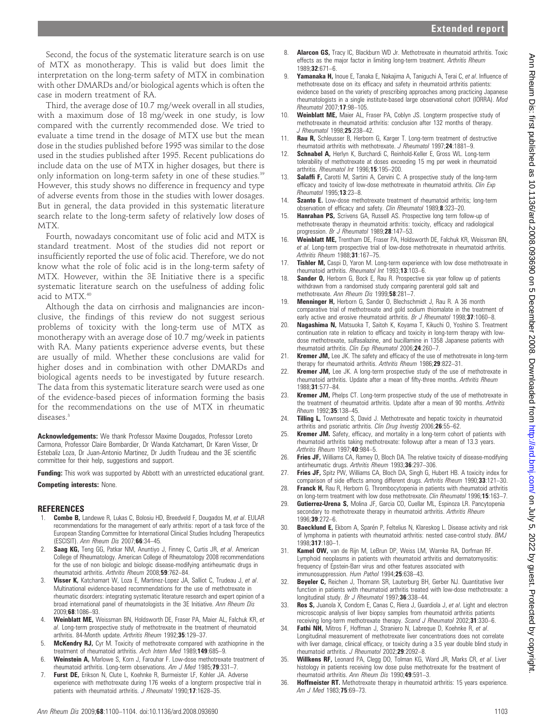Second, the focus of the systematic literature search is on use of MTX as monotherapy. This is valid but does limit the interpretation on the long-term safety of MTX in combination with other DMARDs and/or biological agents which is often the case in modern treatment of RA.

Third, the average dose of 10.7 mg/week overall in all studies, with a maximum dose of 18 mg/week in one study, is low compared with the currently recommended dose. We tried to evaluate a time trend in the dosage of MTX use but the mean dose in the studies published before 1995 was similar to the dose used in the studies published after 1995. Recent publications do include data on the use of MTX in higher dosages, but there is only information on long-term safety in one of these studies.<sup>39</sup> However, this study shows no difference in frequency and type of adverse events from those in the studies with lower dosages. But in general, the data provided in this systematic literature search relate to the long-term safety of relatively low doses of MTX.

Fourth, nowadays concomitant use of folic acid and MTX is standard treatment. Most of the studies did not report or insufficiently reported the use of folic acid. Therefore, we do not know what the role of folic acid is in the long-term safety of MTX. However, within the 3E Initiative there is a specific systematic literature search on the usefulness of adding folic acid to MTX.<sup>40</sup>

Although the data on cirrhosis and malignancies are inconclusive, the findings of this review do not suggest serious problems of toxicity with the long-term use of MTX as monotherapy with an average dose of 10.7 mg/week in patients with RA. Many patients experience adverse events, but these are usually of mild. Whether these conclusions are valid for higher doses and in combination with other DMARDs and biological agents needs to be investigated by future research. The data from this systematic literature search were used as one of the evidence-based pieces of information forming the basis for the recommendations on the use of MTX in rheumatic diseases.<sup>3</sup>

Acknowledgements: We thank Professor Maxime Dougados, Professor Loreto Carmona, Professor Claire Bombardier, Dr Wanda Katchamart, Dr Karen Visser, Dr Estebaliz Loza, Dr Juan-Antonio Martinez, Dr Judith Trudeau and the 3E scientific committee for their help, suggestions and support.

Funding: This work was supported by Abbott with an unrestricted educational grant. Competing interests: None.

#### **REFERENCES**

- 1. **Combe B,** Landewe R, Lukas C, Bolosiu HD, Breedveld F, Dougados M, et al. EULAR recommendations for the management of early arthritis: report of a task force of the European Standing Committee for International Clinical Studies Including Therapeutics (ESCISIT). Ann Rheum Dis 2007;66:34–45.
- 2. Saag KG, Teng GG, Patkar NM, Anuntiyo J, Finney C, Curtis JR, et al. American College of Rheumatology. American College of Rheumatology 2008 recommendations for the use of non biologic and biologic disease-modifying antirheumatic drugs in rheumatoid arthritis. Arthritis Rheum 2008;59:762–84.
- 3. Visser K, Katchamart W, Loza E, Martinez-Lopez JA, Salliot C, Trudeau J, et al. Multinational evidence-based recommendations for the use of methotrexate in rheumatic disorders: integrating systematic literature research and expert opinion of a broad international panel of rheumatologists in the 3E Initiative. Ann Rheum Dis 2009;68:1086–93.
- 4. Weinblatt ME, Weissman BN, Holdsworth DE, Fraser PA, Maier AL, Falchuk KR, et al. Long-term prospective study of methotrexate in the treatment of rheumatoid arthritis. 84-Month update. Arthritis Rheum 1992;35:129–37.
- 5. McKendry RJ, Cyr M. Toxicity of methotrexate compared with azathioprine in the treatment of rheumatoid arthritis. Arch Intern Med 1989;149:685–9.
- 6. Weinstein A, Marlowe S, Korn J, Farouhar F. Low-dose methotrexate treatment of rheumatoid arthritis. Long-term observations. Am J Med 1985;79:331–7.
- 7. Furst DE, Erikson N, Clute L, Koehnke R, Burmeister LF, Kohler JA. Adverse experience with methotrexate during 176 weeks of a longterm prospective trial in patients with rheumatoid arthritis. J Rheumatol 1990;17:1628-35.
- 8. **Alarcon GS,** Tracy IC, Blackburn WD Jr. Methotrexate in rheumatoid arthritis. Toxic effects as the major factor in limiting long-term treatment. Arthritis Rheum 1989;32:671–6.
- 9. Yamanaka H, Inoue E, Tanaka E, Nakajima A, Taniguchi A, Terai C, et al. Influence of methotrexate dose on its efficacy and safety in rheumatoid arthritis patients: evidence based on the variety of prescribing approaches among practicing Japanese rheumatologists in a single institute-based large observational cohort (IORRA). Mod Rheumatol 2007;17:98–105.
- 10. Weinblatt ME, Maier AL, Fraser PA, Coblyn JS. Longterm prospective study of methotrexate in rheumatoid arthritis: conclusion after 132 months of therapy. J Rheumatol 1998;25:238-42.
- 11. **Rau R,** Schleusser B, Herborn G, Karger T. Long-term treatment of destructive rheumatoid arthritis with methotrexate. J Rheumatol 1997;24:1881–9.
- 12. Schnabel A, Herlyn K, Burchardi C, Reinhold-Keller E, Gross WL. Long-term tolerability of methotrexate at doses exceeding 15 mg per week in rheumatoid arthritis. Rheumatol Int 1996;15:195-200.
- 13. Salaffi F, Carotti M, Sartini A, Cervini C. A prospective study of the long-term efficacy and toxicity of low-dose methotrexate in rheumatoid arthritis. Clin Exp Rheumatol 1995;13:23–8.
- Szanto E. Low-dose methotrexate treatment of rheumatoid arthritis; long-term observation of efficacy and safety. Clin Rheumatol 1989;8:323–20.
- 15. Hanrahan PS, Scrivens GA, Russell AS. Prospective long term follow-up of methotrexate therapy in rheumatoid arthritis: toxicity, efficacy and radiological progression. Br J Rheumatol 1989;28:147-53.
- 16. Weinblatt ME, Trentham DE, Fraser PA, Holdsworth DE, Falchuk KR, Weissman BN, et al. Long-term prospective trial of low-dose methotrexate in rheumatoid arthritis. Arthritis Rheum 1988;31:167–75.
- 17. Tishler M, Caspi D, Yaron M. Long-term experience with low dose methotrexate in rheumatoid arthritis. Rheumatol Int 1993;13:103-6.
- 18. Sander O, Herborn G, Bock E, Rau R. Prospective six year follow up of patients withdrawn from a randomised study comparing parenteral gold salt and methotrexate. Ann Rheum Dis 1999;58:281-7.
- 19. Menninger H, Herborn G, Sander O, Blechschmidt J, Rau R. A 36 month comparative trial of methotrexate and gold sodium thiomalate in the treatment of early active and erosive rheumatoid arthritis. Br J Rheumatol 1998;37:1060-8.
- 20. Nagashima N, Matsuoka T, Saitoh K, Koyama T, Kikuchi O, Yoshino S. Treatment continuation rate in relation to efficacy and toxicity in long-term therapy with lowdose methotrexate, sulfasalazine, and bucillamine in 1358 Japanese patients with rheumatoid arthritis. Clin Exp Rheumatol 2006;24:260–7.
- Kremer JM, Lee JK. The safety and efficacy of the use of methotrexate in long-term therany for rheumatoid arthritis. Arthritis Rheum 1986; 29:822-31.
- 22. **Kremer JM,** Lee JK. A long-term prospective study of the use of methotrexate in rheumatoid arthritis. Update after a mean of fifty-three months. Arthritis Rheum 1988;31:577–84.
- 23. **Kremer JM,** Phelps CT. Long-term prospective study of the use of methotrexate in the treatment of rheumatoid arthritis. Update after a mean of 90 months. Arthritis Rheum 1992;35:138–45.
- 24. Tilling L, Townsend S, David J. Methotrexate and hepatic toxicity in rheumatoid arthritis and psoriatic arthritis. Clin Drug Investig 2006;26:55-62.
- 25. **Kremer JM.** Safety, efficacy, and mortality in a long-term cohort of patients with rheumatoid arthritis taking methotrexate: followup after a mean of 13.3 years. Arthritis Rheum 1997;40:984–5.
- 26. Fries JF, Williams CA, Ramey D, Bloch DA. The relative toxicity of disease-modifying antirheumatic drugs. Arthritis Rheum 1993;36:297–306.
- 27. Fries JF, Spitz PW, Williams CA, Bloch DA, Singh G, Hubert HB. A toxicity index for comparison of side effects among different drugs. Arthritis Rheum 1990;33:121-30.
- 28. Franck H, Rau R, Herborn G. Thrombocytopenia in patients with rheumatoid arthritis on long-term treatment with low dose methotrexate. Clin Rheumatol 1996;15:163-7.
- 29. Gutierrez-Urena S, Molina JF, Garcia CO, Cuellar ML, Espinoza LR. Pancytopenia secondary to methotrexate therapy in rheumatoid arthritis. Arthritis Rheum 1996;39:272–6.
- 30. Baecklund E, Ekbom A, Sparén P, Feltelius N, Klareskog L. Disease activity and risk of lymphoma in patients with rheumatoid arthritis: nested case-control study. BMJ 1998;317:180–1.
- 31. Kamel OW, van de Rijn M, LeBrun DP, Weiss LM, Warnke RA, Dorfman RF. Lymphoid neoplasms in patients with rheumatoid arthritis and dermatomyositis: frequency of Epstein-Barr virus and other features associated with immunosuppression. Hum Pathol 1994;25:638–43.
- 32. **Beyeler C,** Reichen J, Thomann SR, Lauterburg BH, Gerber NJ. Quantitative liver function in patients with rheumatoid arthritis treated with low-dose methotrexate: a longitudinal study. Br J Rheumatol 1997;36:338-44.
- 33. Ros S, Juanola X, Condom E, Canas C, Riera J, Guardiola J, et al. Light and electron microscopic analysis of liver biopsy samples from rheumatoid arthritis patients receiving long-term methotrexate therapy. Scand J Rheumatol 2002;31:330-6.
- 34. Fathi NH, Mitros F, Hoffman J, Straniero N, Labreque D, Koehnke R, et al. Longitudinal measurement of methotrexate liver concentrations does not correlate with liver damage, clinical efficacy, or toxicity during a 3.5 year double blind study in rheumatoid arthritis. J Rheumatol 2002;29:2092–8.
- 35. Willkens RF, Leonard PA, Clegg DO, Tolman KG, Ward JR, Marks CR, et al. Liver histology in patients receiving low dose pulse methotrexate for the treatment of rheumatoid arthritis. Ann Rheum Dis 1990;49:591–3.
- 36. Hoffmeister RT. Methotrexate therapy in rheumatoid arthritis: 15 years experience. Am J Med 1983;75:69-73.